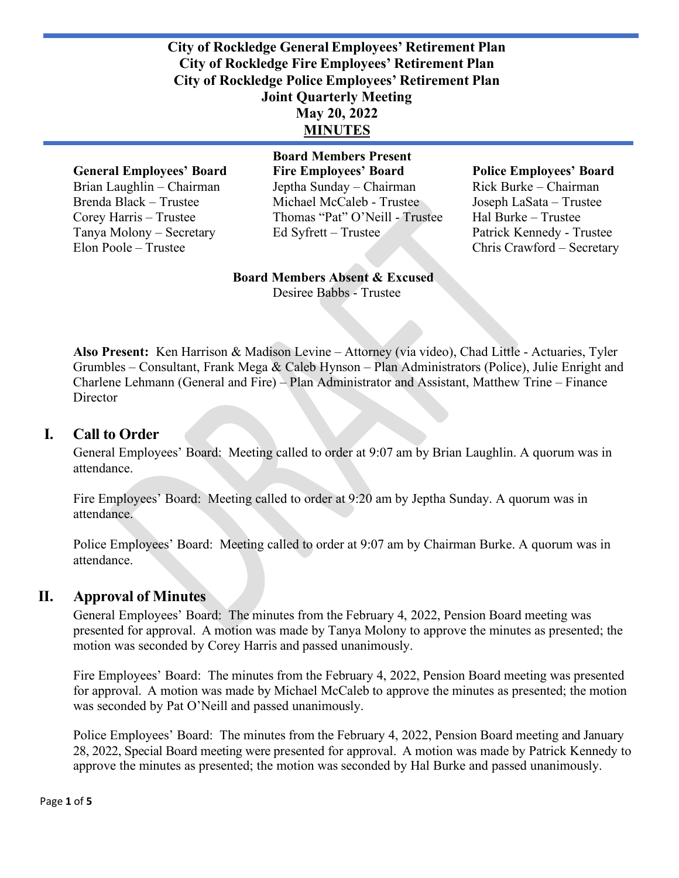#### **City of Rockledge General Employees' Retirement Plan City of Rockledge Fire Employees' Retirement Plan City of Rockledge Police Employees' Retirement Plan Joint Quarterly Meeting May 20, 2022 MINUTES**

**Board Members Present General Employees' Board Fire Employees' Board Police Employees' Board**  Brian Laughlin – Chairman Jeptha Sunday – Chairman Rick Burke – Chairman Brenda Black – Trustee Michael McCaleb - Trustee Joseph LaSata – Trustee Corey Harris – Trustee Thomas "Pat" O'Neill - Trustee Hal Burke – Trustee Tanya Molony – Secretary Ed Syfrett – Trustee Patrick Kennedy - Trustee

Elon Poole – Trustee Chris Crawford – Secretary

#### **Board Members Absent & Excused** Desiree Babbs - Trustee

**Also Present:** Ken Harrison & Madison Levine – Attorney (via video), Chad Little - Actuaries, Tyler Grumbles – Consultant, Frank Mega & Caleb Hynson – Plan Administrators (Police), Julie Enright and Charlene Lehmann (General and Fire) – Plan Administrator and Assistant, Matthew Trine – Finance **Director** 

#### **I. Call to Order**

General Employees' Board: Meeting called to order at 9:07 am by Brian Laughlin. A quorum was in attendance.

Fire Employees' Board: Meeting called to order at 9:20 am by Jeptha Sunday. A quorum was in attendance.

Police Employees' Board: Meeting called to order at 9:07 am by Chairman Burke. A quorum was in attendance.

#### **II. Approval of Minutes**

General Employees' Board:The minutes from the February 4, 2022, Pension Board meeting was presented for approval. A motion was made by Tanya Molony to approve the minutes as presented; the motion was seconded by Corey Harris and passed unanimously.

Fire Employees' Board: The minutes from the February 4, 2022, Pension Board meeting was presented for approval. A motion was made by Michael McCaleb to approve the minutes as presented; the motion was seconded by Pat O'Neill and passed unanimously.

Police Employees' Board: The minutes from the February 4, 2022, Pension Board meeting and January 28, 2022, Special Board meeting were presented for approval. A motion was made by Patrick Kennedy to approve the minutes as presented; the motion was seconded by Hal Burke and passed unanimously.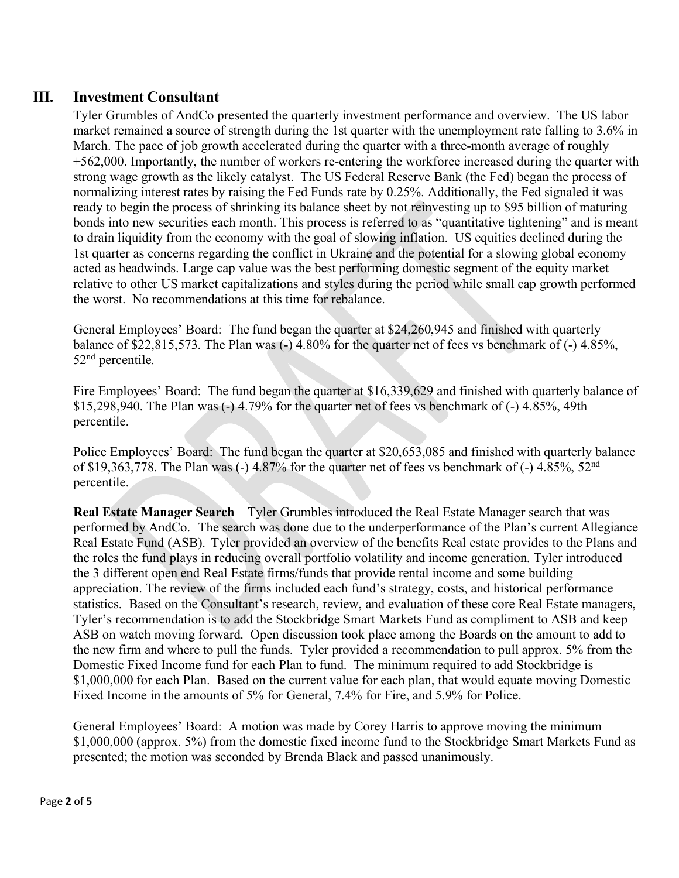### **III. Investment Consultant**

Tyler Grumbles of AndCo presented the quarterly investment performance and overview. The US labor market remained a source of strength during the 1st quarter with the unemployment rate falling to 3.6% in March. The pace of job growth accelerated during the quarter with a three-month average of roughly +562,000. Importantly, the number of workers re-entering the workforce increased during the quarter with strong wage growth as the likely catalyst. The US Federal Reserve Bank (the Fed) began the process of normalizing interest rates by raising the Fed Funds rate by 0.25%. Additionally, the Fed signaled it was ready to begin the process of shrinking its balance sheet by not reinvesting up to \$95 billion of maturing bonds into new securities each month. This process is referred to as "quantitative tightening" and is meant to drain liquidity from the economy with the goal of slowing inflation. US equities declined during the 1st quarter as concerns regarding the conflict in Ukraine and the potential for a slowing global economy acted as headwinds. Large cap value was the best performing domestic segment of the equity market relative to other US market capitalizations and styles during the period while small cap growth performed the worst. No recommendations at this time for rebalance.

General Employees' Board:The fund began the quarter at \$24,260,945 and finished with quarterly balance of \$22,815,573. The Plan was (-) 4.80% for the quarter net of fees vs benchmark of (-) 4.85%, 52<sup>nd</sup> percentile.

Fire Employees' Board: The fund began the quarter at \$16,339,629 and finished with quarterly balance of \$15,298,940. The Plan was (-) 4.79% for the quarter net of fees vs benchmark of (-) 4.85%, 49th percentile.

Police Employees' Board: The fund began the quarter at \$20,653,085 and finished with quarterly balance of \$19,363,778. The Plan was  $(-)$  4.87% for the quarter net of fees vs benchmark of  $(-)$  4.85%, 52<sup>nd</sup> percentile.

**Real Estate Manager Search** – Tyler Grumbles introduced the Real Estate Manager search that was performed by AndCo. The search was done due to the underperformance of the Plan's current Allegiance Real Estate Fund (ASB). Tyler provided an overview of the benefits Real estate provides to the Plans and the roles the fund plays in reducing overall portfolio volatility and income generation. Tyler introduced the 3 different open end Real Estate firms/funds that provide rental income and some building appreciation. The review of the firms included each fund's strategy, costs, and historical performance statistics. Based on the Consultant's research, review, and evaluation of these core Real Estate managers, Tyler's recommendation is to add the Stockbridge Smart Markets Fund as compliment to ASB and keep ASB on watch moving forward. Open discussion took place among the Boards on the amount to add to the new firm and where to pull the funds. Tyler provided a recommendation to pull approx. 5% from the Domestic Fixed Income fund for each Plan to fund. The minimum required to add Stockbridge is \$1,000,000 for each Plan. Based on the current value for each plan, that would equate moving Domestic Fixed Income in the amounts of 5% for General, 7.4% for Fire, and 5.9% for Police.

General Employees' Board:A motion was made by Corey Harris to approve moving the minimum \$1,000,000 (approx. 5%) from the domestic fixed income fund to the Stockbridge Smart Markets Fund as presented; the motion was seconded by Brenda Black and passed unanimously.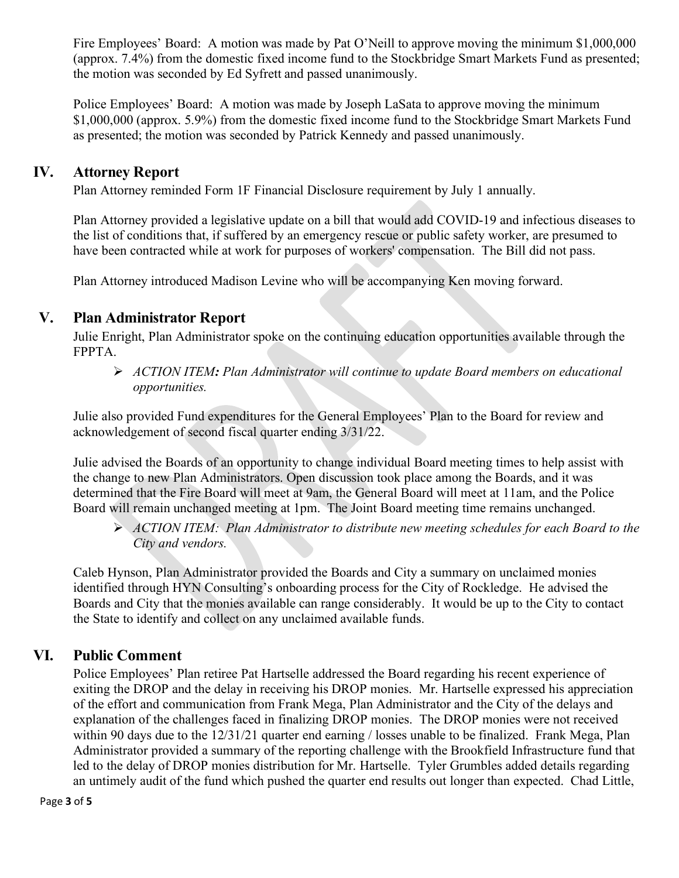Fire Employees' Board: A motion was made by Pat O'Neill to approve moving the minimum \$1,000,000 (approx. 7.4%) from the domestic fixed income fund to the Stockbridge Smart Markets Fund as presented; the motion was seconded by Ed Syfrett and passed unanimously.

Police Employees' Board: A motion was made by Joseph LaSata to approve moving the minimum \$1,000,000 (approx. 5.9%) from the domestic fixed income fund to the Stockbridge Smart Markets Fund as presented; the motion was seconded by Patrick Kennedy and passed unanimously.

#### **IV. Attorney Report**

Plan Attorney reminded Form 1F Financial Disclosure requirement by July 1 annually.

Plan Attorney provided a legislative update on a bill that would add COVID-19 and infectious diseases to the list of conditions that, if suffered by an emergency rescue or public safety worker, are presumed to have been contracted while at work for purposes of workers' compensation. The Bill did not pass.

Plan Attorney introduced Madison Levine who will be accompanying Ken moving forward.

# **V. Plan Administrator Report**

Julie Enright, Plan Administrator spoke on the continuing education opportunities available through the FPPTA.

 *ACTION ITEM: Plan Administrator will continue to update Board members on educational opportunities.* 

Julie also provided Fund expenditures for the General Employees' Plan to the Board for review and acknowledgement of second fiscal quarter ending 3/31/22.

Julie advised the Boards of an opportunity to change individual Board meeting times to help assist with the change to new Plan Administrators. Open discussion took place among the Boards, and it was determined that the Fire Board will meet at 9am, the General Board will meet at 11am, and the Police Board will remain unchanged meeting at 1pm. The Joint Board meeting time remains unchanged.

 *ACTION ITEM: Plan Administrator to distribute new meeting schedules for each Board to the City and vendors.*

Caleb Hynson, Plan Administrator provided the Boards and City a summary on unclaimed monies identified through HYN Consulting's onboarding process for the City of Rockledge. He advised the Boards and City that the monies available can range considerably. It would be up to the City to contact the State to identify and collect on any unclaimed available funds.

# **VI. Public Comment**

Police Employees' Plan retiree Pat Hartselle addressed the Board regarding his recent experience of exiting the DROP and the delay in receiving his DROP monies. Mr. Hartselle expressed his appreciation of the effort and communication from Frank Mega, Plan Administrator and the City of the delays and explanation of the challenges faced in finalizing DROP monies. The DROP monies were not received within 90 days due to the 12/31/21 quarter end earning / losses unable to be finalized. Frank Mega, Plan Administrator provided a summary of the reporting challenge with the Brookfield Infrastructure fund that led to the delay of DROP monies distribution for Mr. Hartselle. Tyler Grumbles added details regarding an untimely audit of the fund which pushed the quarter end results out longer than expected. Chad Little,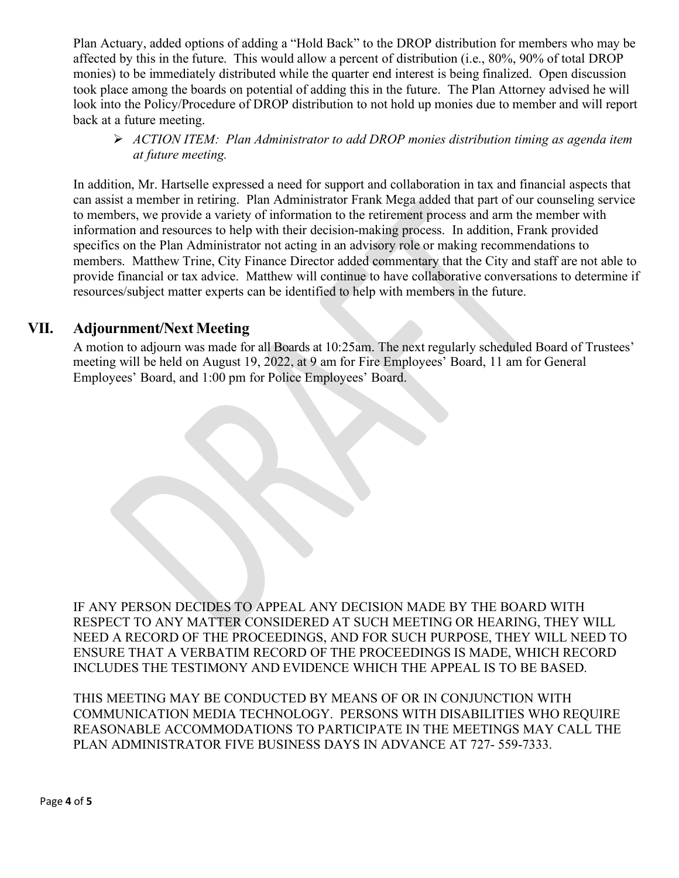Plan Actuary, added options of adding a "Hold Back" to the DROP distribution for members who may be affected by this in the future. This would allow a percent of distribution (i.e., 80%, 90% of total DROP monies) to be immediately distributed while the quarter end interest is being finalized. Open discussion took place among the boards on potential of adding this in the future. The Plan Attorney advised he will look into the Policy/Procedure of DROP distribution to not hold up monies due to member and will report back at a future meeting.

 *ACTION ITEM: Plan Administrator to add DROP monies distribution timing as agenda item at future meeting.* 

In addition, Mr. Hartselle expressed a need for support and collaboration in tax and financial aspects that can assist a member in retiring. Plan Administrator Frank Mega added that part of our counseling service to members, we provide a variety of information to the retirement process and arm the member with information and resources to help with their decision-making process. In addition, Frank provided specifics on the Plan Administrator not acting in an advisory role or making recommendations to members. Matthew Trine, City Finance Director added commentary that the City and staff are not able to provide financial or tax advice. Matthew will continue to have collaborative conversations to determine if resources/subject matter experts can be identified to help with members in the future.

#### **VII. Adjournment/Next Meeting**

A motion to adjourn was made for all Boards at 10:25am. The next regularly scheduled Board of Trustees' meeting will be held on August 19, 2022, at 9 am for Fire Employees' Board, 11 am for General Employees' Board, and 1:00 pm for Police Employees' Board.

IF ANY PERSON DECIDES TO APPEAL ANY DECISION MADE BY THE BOARD WITH RESPECT TO ANY MATTER CONSIDERED AT SUCH MEETING OR HEARING, THEY WILL NEED A RECORD OF THE PROCEEDINGS, AND FOR SUCH PURPOSE, THEY WILL NEED TO ENSURE THAT A VERBATIM RECORD OF THE PROCEEDINGS IS MADE, WHICH RECORD INCLUDES THE TESTIMONY AND EVIDENCE WHICH THE APPEAL IS TO BE BASED.

THIS MEETING MAY BE CONDUCTED BY MEANS OF OR IN CONJUNCTION WITH COMMUNICATION MEDIA TECHNOLOGY. PERSONS WITH DISABILITIES WHO REQUIRE REASONABLE ACCOMMODATIONS TO PARTICIPATE IN THE MEETINGS MAY CALL THE PLAN ADMINISTRATOR FIVE BUSINESS DAYS IN ADVANCE AT 727- 559-7333.